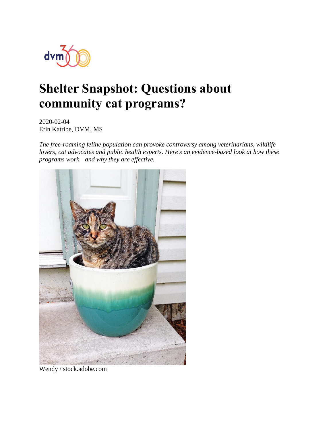

# **Shelter Snapshot: Questions about community cat programs?**

2020-02-04 Erin Katribe, DVM, MS

*The free-roaming feline population can provoke controversy among veterinarians, wildlife lovers, cat advocates and public health experts. Here's an evidence-based look at how these programs work—and why they are effective.* 



Wendy / stock.adobe.com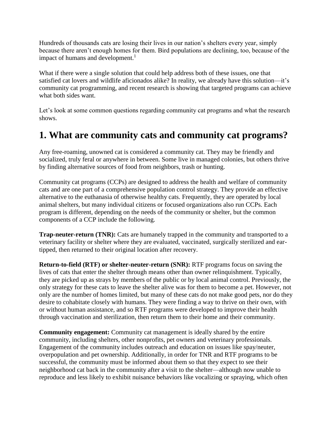Hundreds of thousands cats are losing their lives in our nation's shelters every year, simply because there aren't enough homes for them. Bird populations are declining, too, because of the impact of humans and development.<sup>1</sup>

What if there were a single solution that could help address both of these issues, one that satisfied cat lovers and wildlife aficionados alike? In reality, we already have this solution—it's community cat programming, and recent research is showing that targeted programs can achieve what both sides want.

Let's look at some common questions regarding community cat programs and what the research shows.

#### **1. What are community cats and community cat programs?**

Any free-roaming, unowned cat is considered a community cat. They may be friendly and socialized, truly feral or anywhere in between. Some live in managed colonies, but others thrive by finding alternative sources of food from neighbors, trash or hunting.

Community cat programs (CCPs) are designed to address the health and welfare of community cats and are one part of a comprehensive population control strategy. They provide an effective alternative to the euthanasia of otherwise healthy cats. Frequently, they are operated by local animal shelters, but many individual citizens or focused organizations also run CCPs. Each program is different, depending on the needs of the community or shelter, but the common components of a CCP include the following.

**Trap-neuter-return (TNR):** Cats are humanely trapped in the community and transported to a veterinary facility or shelter where they are evaluated, vaccinated, surgically sterilized and eartipped, then returned to their original location after recovery.

**Return-to-field (RTF) or shelter-neuter-return (SNR):** RTF programs focus on saving the lives of cats that enter the shelter through means other than owner relinquishment. Typically, they are picked up as strays by members of the public or by local animal control. Previously, the only strategy for these cats to leave the shelter alive was for them to become a pet. However, not only are the number of homes limited, but many of these cats do not make good pets, nor do they desire to cohabitate closely with humans. They were finding a way to thrive on their own, with or without human assistance, and so RTF programs were developed to improve their health through vaccination and sterilization, then return them to their home and their community.

**Community engagement:** Community cat management is ideally shared by the entire community, including shelters, other nonprofits, pet owners and veterinary professionals. Engagement of the community includes outreach and education on issues like spay/neuter, overpopulation and pet ownership. Additionally, in order for TNR and RTF programs to be successful, the community must be informed about them so that they expect to see their neighborhood cat back in the community after a visit to the shelter—although now unable to reproduce and less likely to exhibit nuisance behaviors like vocalizing or spraying, which often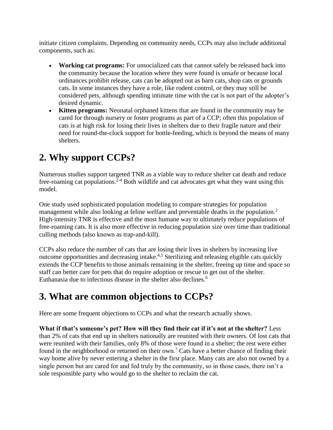initiate citizen complaints. Depending on community needs, CCPs may also include additional components, such as:

- **Working cat programs:** For unsocialized cats that cannot safely be released back into the community because the location where they were found is unsafe or because local ordinances prohibit release, cats can be adopted out as barn cats, shop cats or grounds cats. In some instances they have a role, like rodent control, or they may still be considered pets, although spending intimate time with the cat is not part of the adopter's desired dynamic.
- **Kitten programs:** Neonatal orphaned kittens that are found in the community may be cared for through nursery or foster programs as part of a CCP; often this population of cats is at high risk for losing their lives in shelters due to their fragile nature and their need for round-the-clock support for bottle-feeding, which is beyond the means of many shelters.

## **2. Why support CCPs?**

Numerous studies support targeted TNR as a viable way to reduce shelter cat death and reduce free-roaming cat populations.<sup>2-4</sup> Both wildlife and cat advocates get what they want using this model.

One study used sophisticated population modeling to compare strategies for population management while also looking at feline welfare and preventable deaths in the population.<sup>2</sup> High-intensity TNR is effective and the most humane way to ultimately reduce populations of free-roaming cats. It is also more effective in reducing population size over time than traditional culling methods (also known as trap-and-kill).

CCPs also reduce the number of cats that are losing their lives in shelters by increasing live outcome opportunities and decreasing intake.4,5 Sterilizing and releasing eligible cats quickly extends the CCP benefits to those animals remaining in the shelter, freeing up time and space so staff can better care for pets that do require adoption or rescue to get out of the shelter. Euthanasia due to infectious disease in the shelter also declines.<sup>6</sup>

### **3. What are common objections to CCPs?**

Here are some frequent objections to CCPs and what the research actually shows.

**What if that's someone's pet? How will they find their cat if it's not at the shelter?** Less than 2% of cats that end up in shelters nationally are reunited with their owners. Of lost cats that were reunited with their families, only 8% of those were found in a shelter; the rest were either found in the neighborhood or returned on their own.<sup>7</sup> Cats have a better chance of finding their way home alive by never entering a shelter in the first place. Many cats are also not owned by a single person but are cared for and fed truly by the community, so in those cases, there isn't a sole responsible party who would go to the shelter to reclaim the cat.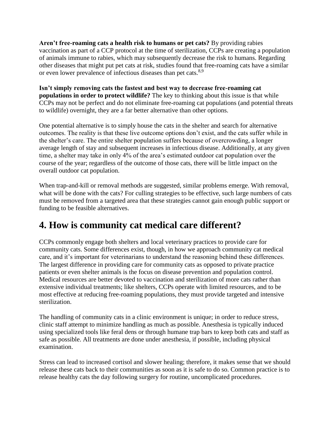**Aren't free-roaming cats a health risk to humans or pet cats?** By providing rabies vaccination as part of a CCP protocol at the time of sterilization, CCPs are creating a population of animals immune to rabies, which may subsequently decrease the risk to humans. Regarding other diseases that might put pet cats at risk, studies found that free-roaming cats have a similar or even lower prevalence of infectious diseases than pet cats.<sup>8,9</sup>

**Isn't simply removing cats the fastest and best way to decrease free-roaming cat populations in order to protect wildlife?** The key to thinking about this issue is that while CCPs may not be perfect and do not eliminate free-roaming cat populations (and potential threats to wildlife) overnight, they are a far better alternative than other options.

One potential alternative is to simply house the cats in the shelter and search for alternative outcomes. The reality is that these live outcome options don't exist, and the cats suffer while in the shelter's care. The entire shelter population suffers because of overcrowding, a longer average length of stay and subsequent increases in infectious disease. Additionally, at any given time, a shelter may take in only 4% of the area's estimated outdoor cat population over the course of the year; regardless of the outcome of those cats, there will be little impact on the overall outdoor cat population.

When trap-and-kill or removal methods are suggested, similar problems emerge. With removal, what will be done with the cats? For culling strategies to be effective, such large numbers of cats must be removed from a targeted area that these strategies cannot gain enough public support or funding to be feasible alternatives.

### **4. How is community cat medical care different?**

CCPs commonly engage both shelters and local veterinary practices to provide care for community cats. Some differences exist, though, in how we approach community cat medical care, and it's important for veterinarians to understand the reasoning behind these differences. The largest difference in providing care for community cats as opposed to private practice patients or even shelter animals is the focus on disease prevention and population control. Medical resources are better devoted to vaccination and sterilization of more cats rather than extensive individual treatments; like shelters, CCPs operate with limited resources, and to be most effective at reducing free-roaming populations, they must provide targeted and intensive sterilization.

The handling of community cats in a clinic environment is unique; in order to reduce stress, clinic staff attempt to minimize handling as much as possible. Anesthesia is typically induced using specialized tools like feral dens or through humane trap bars to keep both cats and staff as safe as possible. All treatments are done under anesthesia, if possible, including physical examination.

Stress can lead to increased cortisol and slower healing; therefore, it makes sense that we should release these cats back to their communities as soon as it is safe to do so. Common practice is to release healthy cats the day following surgery for routine, uncomplicated procedures.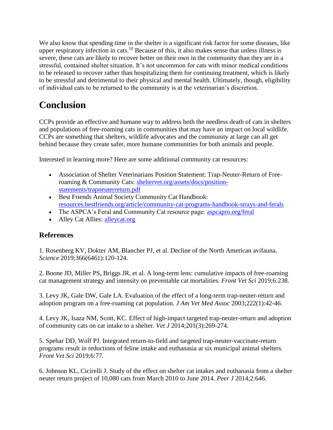We also know that spending time in the shelter is a significant risk factor for some diseases, like upper respiratory infection in cats.<sup>10</sup> Because of this, it also makes sense that unless illness is severe, these cats are likely to recover better on their own in the community than they are in a stressful, contained shelter situation. It's not uncommon for cats with minor medical conditions to be released to recover rather than hospitalizing them for continuing treatment, which is likely to be stressful and detrimental to their physical and mental health. Ultimately, though, eligibility of individual cats to be returned to the community is at the veterinarian's discretion.

# **Conclusion**

CCPs provide an effective and humane way to address both the needless death of cats in shelters and populations of free-roaming cats in communities that may have an impact on local wildlife. CCPs are something that shelters, wildlife advocates and the community at large can all get behind because they create safer, more humane communities for both animals and people.

Interested in learning more? Here are some additional community cat resources:

- Association of Shelter Veterinarians Position Statement: Trap-Neuter-Return of Freeroaming & Community Cats: [sheltervet.org/assets/docs/position](https://www.sheltervet.org/assets/docs/position-statements/trapneuterreturn.pdf)[statements/trapneuterreturn.pdf](https://www.sheltervet.org/assets/docs/position-statements/trapneuterreturn.pdf)
- Best Friends Animal Society Community Cat Handbook: [resources.bestfriends.org/article/community-cat-programs-handbook-strays-and-ferals](https://resources.bestfriends.org/article/community-cat-programs-handbook-strays-and-ferals)
- The ASPCA's Feral and Community Cat resource page: [aspcapro.org/feral](https://www.aspcapro.org/feral)
- Alley Cat Allies: [alleycat.org](https://www.alleycat.org/)

#### **References**

1. Rosenberg KV, Dokter AM, Blancher PJ, et al. Decline of the North American avifauna. *Science* 2019;366(6461):120-124.

2. Boone JD, Miller PS, Briggs JR, et al. A long-term lens: cumulative impacts of free-roaming cat management strategy and intensity on preventable cat mortalities. *Front Vet Sci* 2019;6:238.

3. Levy JK, Gale DW, Gale LA. Evaluation of the effect of a long-term trap-neuter-return and adoption program on a free-roaming cat population. *J Am Vet Med Assoc* 2003;222(1):42-46.

4. Levy JK, Isaza NM, Scott, KC. Effect of high-impact targeted trap-neuter-return and adoption of community cats on cat intake to a shelter. *Vet J* 2014;201(3):269-274.

5. Spehar DD, Wolf PJ. Integrated return-to-field and targeted trap-neuter-vaccinate-return programs result in reductions of feline intake and euthanasia at six municipal animal shelters. *Front Vet Sci* 2019;6:77.

6. Johnson KL, Cicirelli J. Study of the effect on shelter cat intakes and euthanasia from a shelter neuter return project of 10,080 cats from March 2010 to June 2014. *Peer J* 2014;2:646.